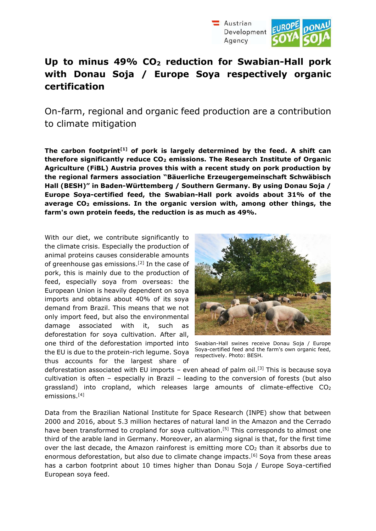



On-farm, regional and organic feed production are a contribution to climate mitigation

**The carbon footprint[1] of pork is largely determined by the feed. A shift can therefore significantly reduce CO2 emissions. The Research Institute of Organic Agriculture (FiBL) Austria proves this with a recent study on pork production by the regional farmers association "Bäuerliche Erzeugergemeinschaft Schwäbisch Hall (BESH)" in Baden-Württemberg / Southern Germany. By using Donau Soja / Europe Soya-certified feed, the Swabian-Hall pork avoids about 31% of the average CO2 emissions. In the organic version with, among other things, the farm's own protein feeds, the reduction is as much as 49%.**

With our diet, we contribute significantly to the climate crisis. Especially the production of animal proteins causes considerable amounts of greenhouse gas emissions.<sup>[2]</sup> In the case of pork, this is mainly due to the production of feed, especially soya from overseas: the European Union is heavily dependent on soya imports and obtains about 40% of its soya demand from Brazil. This means that we not only import feed, but also the environmental damage associated with it, such as deforestation for soya cultivation. After all, one third of the deforestation imported into the EU is due to the protein-rich legume. Soya thus accounts for the largest share of



Swabian-Hall swines receive Donau Soja / Europe Soya-certified feed and the farm's own organic feed, respectively. Photo: BESH.

deforestation associated with EU imports  $-$  even ahead of palm oil.<sup>[3]</sup> This is because soya cultivation is often – especially in Brazil – leading to the conversion of forests (but also grassland) into cropland, which releases large amounts of climate-effective  $CO<sub>2</sub>$ emissions.[4]

Data from the Brazilian National Institute for Space Research (INPE) show that between 2000 and 2016, about 5.3 million hectares of natural land in the Amazon and the Cerrado have been transformed to cropland for soya cultivation.<sup>[5]</sup> This corresponds to almost one third of the arable land in Germany. Moreover, an alarming signal is that, for the first time over the last decade, the Amazon rainforest is emitting more  $CO<sub>2</sub>$  than it absorbs due to enormous deforestation, but also due to climate change impacts.<sup>[6]</sup> Soya from these areas has a carbon footprint about 10 times higher than Donau Soja / Europe Soya-certified European soya feed.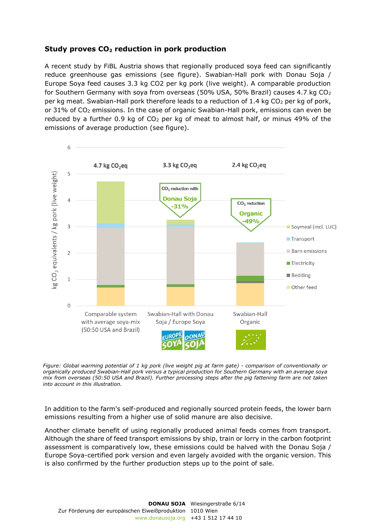# **Study proves CO2 reduction in pork production**

A recent study by FiBL Austria shows that regionally produced soya feed can significantly reduce greenhouse gas emissions (see figure). Swabian-Hall pork with Donau Soja / Europe Soya feed causes 3.3 kg CO2 per kg pork (live weight). A comparable production for Southern Germany with soya from overseas (50% USA, 50% Brazil) causes 4.7 kg CO<sup>2</sup> per kg meat. Swabian-Hall pork therefore leads to a reduction of 1.4 kg CO<sub>2</sub> per kg of pork, or  $31\%$  of CO<sub>2</sub> emissions. In the case of organic Swabian-Hall pork, emissions can even be reduced by a further 0.9 kg of  $CO<sub>2</sub>$  per kg of meat to almost half, or minus 49% of the emissions of average production (see figure).



*Figure: Global warming potential of 1 kg pork (live weight pig at farm gate) - comparison of conventionally or organically produced Swabian-Hall pork versus a typical production for Southern Germany with an average soya mix from overseas (50:50 USA and Brazil). Further processing steps after the pig fattening farm are not taken into account in this illustration.* 

In addition to the farm's self-produced and regionally sourced protein feeds, the lower barn emissions resulting from a higher use of solid manure are also decisive.

Another climate benefit of using regionally produced animal feeds comes from transport. Although the share of feed transport emissions by ship, train or lorry in the carbon footprint assessment is comparatively low, these emissions could be halved with the Donau Soja / Europe Soya-certified pork version and even largely avoided with the organic version. This is also confirmed by the further production steps up to the point of sale.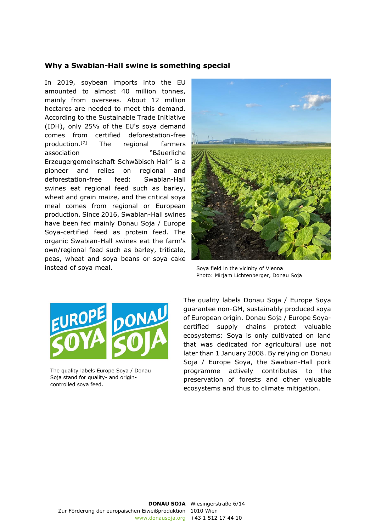## **Why a Swabian-Hall swine is something special**

In 2019, soybean imports into the EU amounted to almost 40 million tonnes, mainly from overseas. About 12 million hectares are needed to meet this demand. According to the Sustainable Trade Initiative (IDH), only 25% of the EU's soya demand comes from certified deforestation-free production.[7] The regional farmers association "Bäuerliche Erzeugergemeinschaft Schwäbisch Hall" is a pioneer and relies on regional and deforestation-free feed: Swabian-Hall swines eat regional feed such as barley, wheat and grain maize, and the critical soya meal comes from regional or European production. Since 2016, Swabian-Hall swines have been fed mainly Donau Soja / Europe Soya-certified feed as protein feed. The organic Swabian-Hall swines eat the farm's own/regional feed such as barley, triticale, peas, wheat and soya beans or soya cake instead of soya meal.



Soya field in the vicinity of Vienna Photo: Mirjam Lichtenberger, Donau Soja



The quality labels Europe Soya / Donau Soja stand for quality- and origincontrolled soya feed.

The quality labels Donau Soja / Europe Soya guarantee non-GM, sustainably produced soya of European origin. Donau Soja / Europe Soyacertified supply chains protect valuable ecosystems: Soya is only cultivated on land that was dedicated for agricultural use not later than 1 January 2008. By relying on Donau Soja / Europe Soya, the Swabian-Hall pork programme actively contributes to the preservation of forests and other valuable ecosystems and thus to climate mitigation.